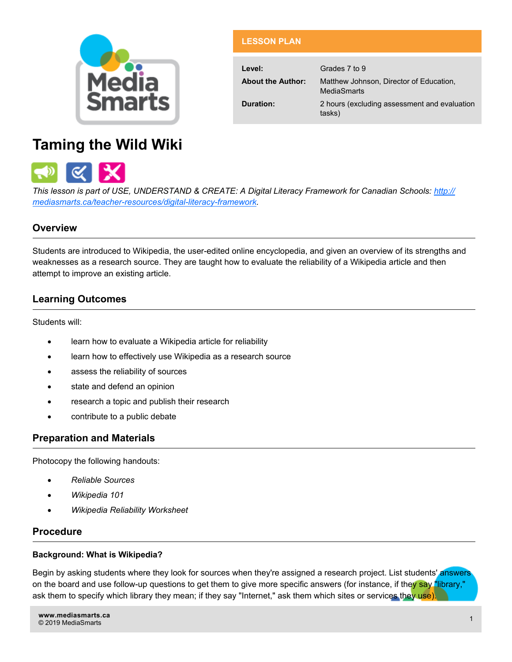

| <b>LESSON PLAN</b>       |                                                        |
|--------------------------|--------------------------------------------------------|
|                          |                                                        |
| Level:                   | Grades 7 to 9                                          |
| <b>About the Author:</b> | Matthew Johnson, Director of Education,<br>MediaSmarts |
| Duration:                | 2 hours (excluding assessment and evaluation<br>tasks) |

# **Taming the Wild Wiki**



*This lesson is part of USE, UNDERSTAND & CREATE: A Digital Literacy Framework for Canadian Schools: [http://](http://mediasmarts.ca/teacher-resources/digital-literacy-framework) [mediasmarts.ca/teacher](http://mediasmarts.ca/teacher-resources/digital-literacy-framework)-resources/digital-literacy-framework.*

## **Overview**

Students are introduced to Wikipedia, the user-edited online encyclopedia, and given an overview of its strengths and weaknesses as a research source. They are taught how to evaluate the reliability of a Wikipedia article and then attempt to improve an existing article.

## **Learning Outcomes**

Students will:

- learn how to evaluate a Wikipedia article for reliability
- learn how to effectively use Wikipedia as a research source
- assess the reliability of sources
- state and defend an opinion
- research a topic and publish their research
- contribute to a public debate

### **Preparation and Materials**

Photocopy the following handouts:

- *Reliable Sources*
- *Wikipedia 101*
- *Wikipedia Reliability Worksheet*

### **Procedure**

### **Background: What is Wikipedia?**

Begin by asking students where they look for sources when they're assigned a research project. List students' answers on the board and use follow-up questions to get them to give more specific answers (for instance, if they say "library," ask them to specify which library they mean; if they say "Internet," ask them which sites or services they use).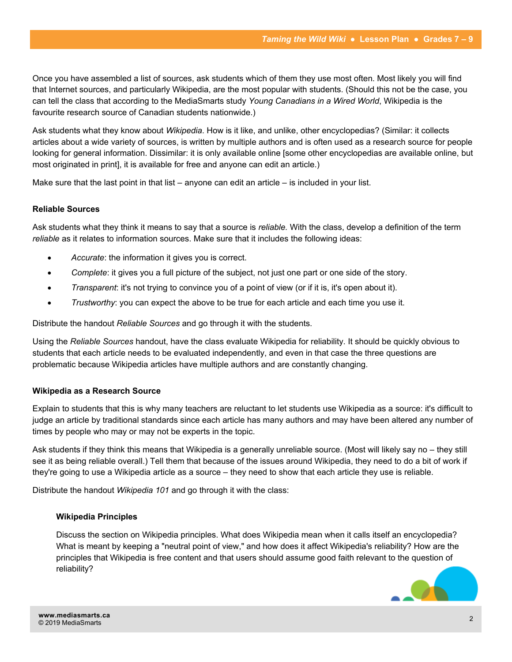Once you have assembled a list of sources, ask students which of them they use most often. Most likely you will find that Internet sources, and particularly Wikipedia, are the most popular with students. (Should this not be the case, you can tell the class that according to the MediaSmarts study *Young Canadians in a Wired World*, Wikipedia is the favourite research source of Canadian students nationwide.)

Ask students what they know about *Wikipedia*. How is it like, and unlike, other encyclopedias? (Similar: it collects articles about a wide variety of sources, is written by multiple authors and is often used as a research source for people looking for general information. Dissimilar: it is only available online [some other encyclopedias are available online, but most originated in print], it is available for free and anyone can edit an article.)

Make sure that the last point in that list  $-$  anyone can edit an article  $-$  is included in your list.

#### **Reliable Sources**

Ask students what they think it means to say that a source is *reliable.* With the class, develop a definition of the term *reliable* as it relates to information sources. Make sure that it includes the following ideas:

- *Accurate*: the information it gives you is correct.
- *Complete*: it gives you a full picture of the subject, not just one part or one side of the story.
- *Transparent*: it's not trying to convince you of a point of view (or if it is, it's open about it).
- *Trustworthy*: you can expect the above to be true for each article and each time you use it.

Distribute the handout *Reliable Sources* and go through it with the students.

Using the *Reliable Sources* handout, have the class evaluate Wikipedia for reliability. It should be quickly obvious to students that each article needs to be evaluated independently, and even in that case the three questions are problematic because Wikipedia articles have multiple authors and are constantly changing.

#### **Wikipedia as a Research Source**

Explain to students that this is why many teachers are reluctant to let students use Wikipedia as a source: it's difficult to judge an article by traditional standards since each article has many authors and may have been altered any number of times by people who may or may not be experts in the topic.

Ask students if they think this means that Wikipedia is a generally unreliable source. (Most will likely say no – they still see it as being reliable overall.) Tell them that because of the issues around Wikipedia, they need to do a bit of work if they're going to use a Wikipedia article as a source – they need to show that each article they use is reliable.

Distribute the handout *Wikipedia 101* and go through it with the class:

#### **Wikipedia Principles**

Discuss the section on Wikipedia principles. What does Wikipedia mean when it calls itself an encyclopedia? What is meant by keeping a "neutral point of view," and how does it affect Wikipedia's reliability? How are the principles that Wikipedia is free content and that users should assume good faith relevant to the question of reliability?

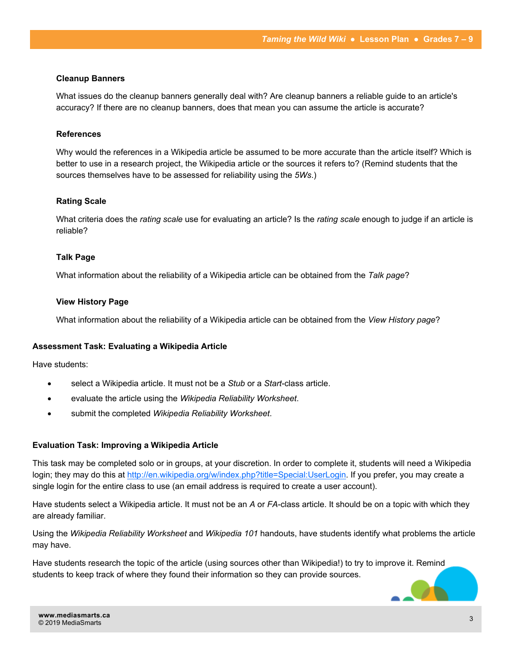### **Cleanup Banners**

What issues do the cleanup banners generally deal with? Are cleanup banners a reliable guide to an article's accuracy? If there are no cleanup banners, does that mean you can assume the article is accurate?

### **References**

Why would the references in a Wikipedia article be assumed to be more accurate than the article itself? Which is better to use in a research project, the Wikipedia article or the sources it refers to? (Remind students that the sources themselves have to be assessed for reliability using the *5Ws*.)

### **Rating Scale**

What criteria does the *rating scale* use for evaluating an article? Is the *rating scale* enough to judge if an article is reliable?

### **Talk Page**

What information about the reliability of a Wikipedia article can be obtained from the *Talk page*?

### **View History Page**

What information about the reliability of a Wikipedia article can be obtained from the *View History page*?

#### **Assessment Task: Evaluating a Wikipedia Article**

Have students:

- select a Wikipedia article. It must not be a *Stub* or a *Start*-class article.
- evaluate the article using the *Wikipedia Reliability Worksheet*.
- submit the completed *Wikipedia Reliability Worksheet*.

### **Evaluation Task: Improving a Wikipedia Article**

This task may be completed solo or in groups, at your discretion. In order to complete it, students will need a Wikipedia login; they may do this at [http://en.wikipedia.org/w/index.php?title=Special:UserLogin.](http://en.wikipedia.org/w/index.php?title=Special:UserLogin) If you prefer, you may create a single login for the entire class to use (an email address is required to create a user account).

Have students select a Wikipedia article. It must not be an *A* or *FA*-class article. It should be on a topic with which they are already familiar.

Using the *Wikipedia Reliability Worksheet* and *Wikipedia 101* handouts, have students identify what problems the article may have.

Have students research the topic of the article (using sources other than Wikipedia!) to try to improve it. Remind students to keep track of where they found their information so they can provide sources.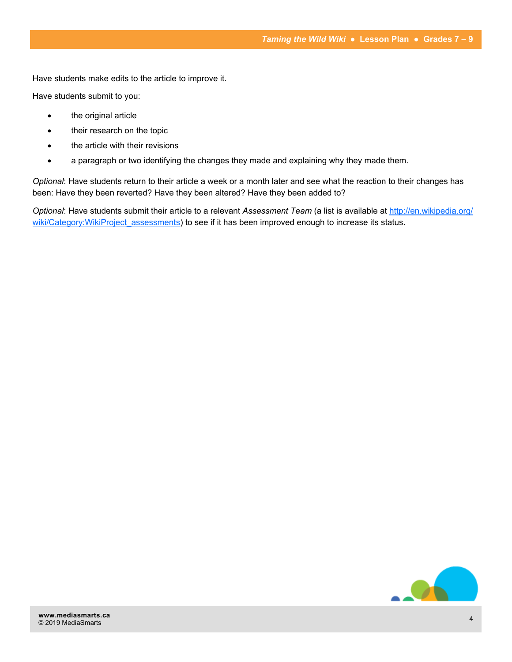Have students make edits to the article to improve it.

Have students submit to you:

- the original article
- their research on the topic
- the article with their revisions
- a paragraph or two identifying the changes they made and explaining why they made them.

*Optional*: Have students return to their article a week or a month later and see what the reaction to their changes has been: Have they been reverted? Have they been altered? Have they been added to?

*Optional*: Have students submit their article to a relevant *Assessment Team* (a list is available at [http://en.wikipedia.org/](http://en.wikipedia.org/wiki/Category:WikiProject_assessments) wiki/Category:WikiProject assessments) to see if it has been improved enough to increase its status.

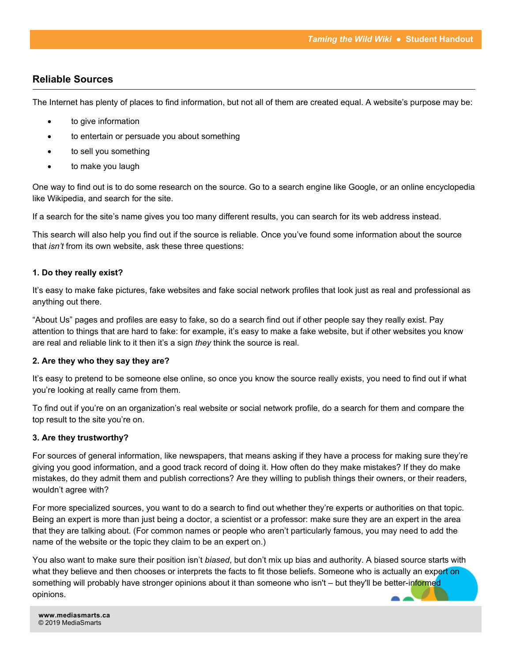### **Reliable Sources**

The Internet has plenty of places to find information, but not all of them are created equal. A website's purpose may be:

- to give information
- to entertain or persuade you about something
- to sell you something
- to make you laugh

One way to find out is to do some research on the source. Go to a search engine like Google, or an online encyclopedia like Wikipedia, and search for the site.

If a search for the site's name gives you too many different results, you can search for its web address instead.

This search will also help you find out if the source is reliable. Once you've found some information about the source that *isn't* from its own website, ask these three questions:

### **1. Do they really exist?**

It's easy to make fake pictures, fake websites and fake social network profiles that look just as real and professional as anything out there.

"About Us" pages and profiles are easy to fake, so do a search find out if other people say they really exist. Pay attention to things that are hard to fake: for example, it's easy to make a fake website, but if other websites you know are real and reliable link to it then it's a sign *they* think the source is real.

### **2. Are they who they say they are?**

It's easy to pretend to be someone else online, so once you know the source really exists, you need to find out if what you're looking at really came from them.

To find out if you're on an organization's real website or social network profile, do a search for them and compare the top result to the site you're on.

### **3. Are they trustworthy?**

For sources of general information, like newspapers, that means asking if they have a process for making sure they're giving you good information, and a good track record of doing it. How often do they make mistakes? If they do make mistakes, do they admit them and publish corrections? Are they willing to publish things their owners, or their readers, wouldn't agree with?

For more specialized sources, you want to do a search to find out whether they're experts or authorities on that topic. Being an expert is more than just being a doctor, a scientist or a professor: make sure they are an expert in the area that they are talking about. (For common names or people who aren't particularly famous, you may need to add the name of the website or the topic they claim to be an expert on.)

You also want to make sure their position isn't *biased*, but don't mix up bias and authority. A biased source starts with what they believe and then chooses or interprets the facts to fit those beliefs. Someone who is actually an expert on something will probably have stronger opinions about it than someone who isn't – but they'll be better-informed opinions.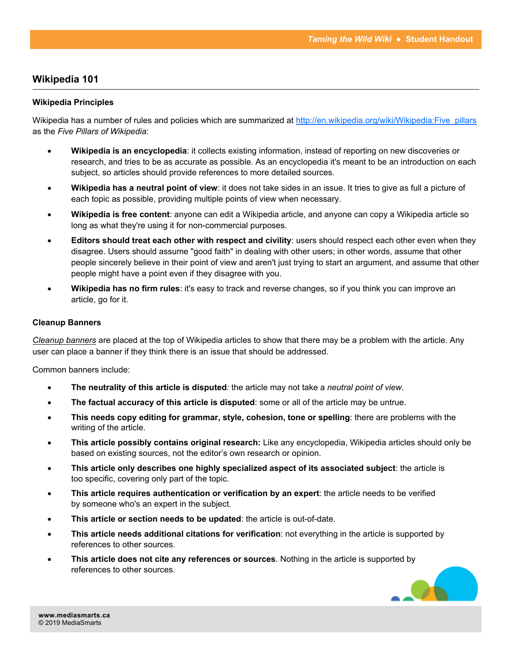### **Wikipedia 101**

### **Wikipedia Principles**

Wikipedia has a number of rules and policies which are summarized at http://en.wikipedia.org/wiki/Wikipedia:Five pillars as the *Five Pillars of Wikipedia*:

- **Wikipedia is an encyclopedia**: it collects existing information, instead of reporting on new discoveries or research, and tries to be as accurate as possible. As an encyclopedia it's meant to be an introduction on each subject, so articles should provide references to more detailed sources.
- **Wikipedia has a neutral point of view**: it does not take sides in an issue. It tries to give as full a picture of each topic as possible, providing multiple points of view when necessary.
- **Wikipedia is free content**: anyone can edit a Wikipedia article, and anyone can copy a Wikipedia article so long as what they're using it for non-commercial purposes.
- **Editors should treat each other with respect and civility**: users should respect each other even when they disagree. Users should assume "good faith" in dealing with other users; in other words, assume that other people sincerely believe in their point of view and aren't just trying to start an argument, and assume that other people might have a point even if they disagree with you.
- **Wikipedia has no firm rules**: it's easy to track and reverse changes, so if you think you can improve an article, go for it.

### **Cleanup Banners**

*[Cleanup banners](http://en.wikipedia.org/wiki/Wikipedia:Template_messages/Cleanup)* are placed at the top of Wikipedia articles to show that there may be a problem with the article. Any user can place a banner if they think there is an issue that should be addressed.

Common banners include:

- **The neutrality of this article is disputed***:* the article may not take a *neutral point of view*.
- **The factual accuracy of this article is disputed**: some or all of the article may be untrue.
- **This needs copy editing for grammar, style, cohesion, tone or spelling**: there are problems with the writing of the article.
- **This article possibly contains original research:** Like any encyclopedia, Wikipedia articles should only be based on existing sources, not the editor's own research or opinion.
- **This article only describes one highly specialized aspect of its associated subject**: the article is too specific, covering only part of the topic.
- **This article requires authentication or verification by an expert**: the article needs to be verified by someone who's an expert in the subject.
- **This article or section needs to be updated**: the article is out-of-date.
- **This article needs additional citations for verification**: not everything in the article is supported by references to other sources.
- **This article does not cite any references or sources***.* Nothing in the article is supported by references to other sources.

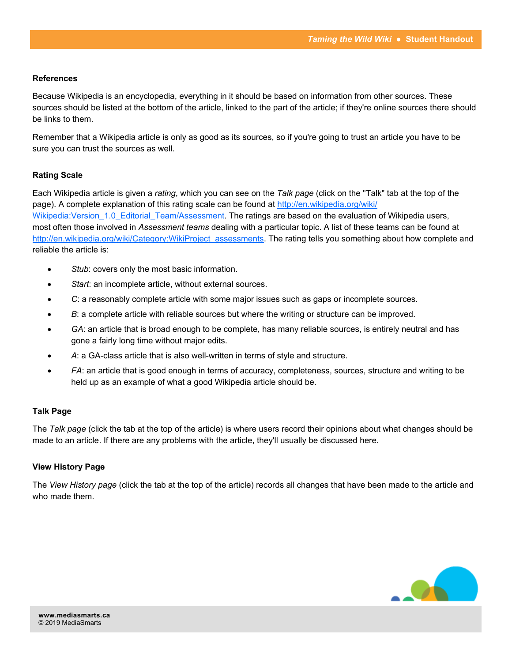### **References**

Because Wikipedia is an encyclopedia, everything in it should be based on information from other sources. These sources should be listed at the bottom of the article, linked to the part of the article; if they're online sources there should be links to them.

Remember that a Wikipedia article is only as good as its sources, so if you're going to trust an article you have to be sure you can trust the sources as well.

### **Rating Scale**

Each Wikipedia article is given a *rating*, which you can see on the *Talk page* (click on the "Talk" tab at the top of the page). A complete explanation of this rating scale can be found at [http://en.wikipedia.org/wiki/](http://en.wikipedia.org/wiki/Wikipedia:Version_1.0_Editorial_Team/Assessment) Wikipedia: Version 1.0 Editorial Team/Assessment. The ratings are based on the evaluation of Wikipedia users, most often those involved in *Assessment teams* dealing with a particular topic. A list of these teams can be found at [http://en.wikipedia.org/wiki/Category:WikiProject\\_assessments.](http://en.wikipedia.org/wiki/Category:WikiProject_assessments) The rating tells you something about how complete and reliable the article is:

- Stub: covers only the most basic information.
- *Start*: an incomplete article, without external sources.
- *C*: a reasonably complete article with some major issues such as gaps or incomplete sources.
- **B:** a complete article with reliable sources but where the writing or structure can be improved.
- *GA*: an article that is broad enough to be complete, has many reliable sources, is entirely neutral and has gone a fairly long time without major edits.
- *A*: a GA-class article that is also well-written in terms of style and structure.
- *FA*: an article that is good enough in terms of accuracy, completeness, sources, structure and writing to be held up as an example of what a good Wikipedia article should be.

### **Talk Page**

The *Talk page* (click the tab at the top of the article) is where users record their opinions about what changes should be made to an article. If there are any problems with the article, they'll usually be discussed here.

### **View History Page**

The *View History page* (click the tab at the top of the article) records all changes that have been made to the article and who made them.

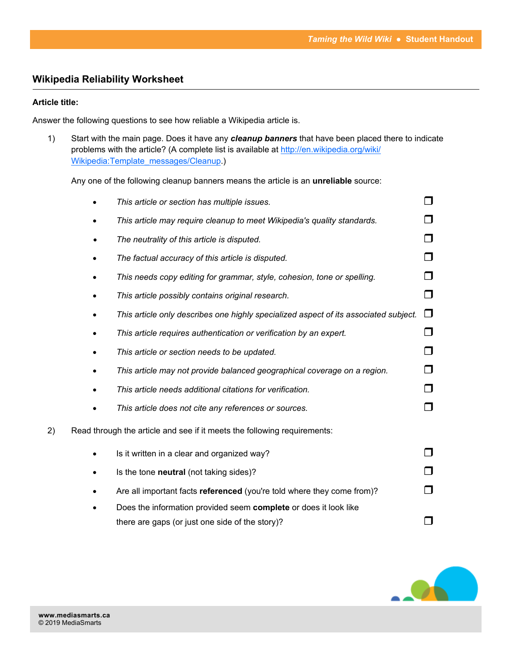## **Wikipedia Reliability Worksheet**

### **Article title:**

Answer the following questions to see how reliable a Wikipedia article is.

1) Start with the main page. Does it have any *cleanup banners* that have been placed there to indicate problems with the article? (A complete list is available at [http://en.wikipedia.org/wiki/](http://en.wikipedia.org/wiki/Wikipedia:Template_messages/Cleanup) [Wikipedia:Template\\_messages/Cleanup.\)](http://en.wikipedia.org/wiki/Wikipedia:Template_messages/Cleanup)

Any one of the following cleanup banners means the article is an **unreliable** source:

|    | This article or section has multiple issues.                                         |        |
|----|--------------------------------------------------------------------------------------|--------|
|    | This article may require cleanup to meet Wikipedia's quality standards.              |        |
|    | The neutrality of this article is disputed.                                          | П      |
|    | The factual accuracy of this article is disputed.                                    |        |
|    | This needs copy editing for grammar, style, cohesion, tone or spelling.              |        |
|    | This article possibly contains original research.                                    | $\Box$ |
|    | This article only describes one highly specialized aspect of its associated subject. | $\Box$ |
|    | This article requires authentication or verification by an expert.                   | $\Box$ |
|    | This article or section needs to be updated.                                         |        |
|    | This article may not provide balanced geographical coverage on a region.             | П      |
|    | This article needs additional citations for verification.                            |        |
|    | This article does not cite any references or sources.                                | П      |
| 2) | Read through the article and see if it meets the following requirements:             |        |
|    | Is it written in a clear and organized way?                                          |        |
|    | Is the tone neutral (not taking sides)?                                              |        |
|    | Are all important facts referenced (you're told where they come from)?               |        |
|    | Does the information provided seem complete or does it look like                     |        |
|    | there are gaps (or just one side of the story)?                                      |        |

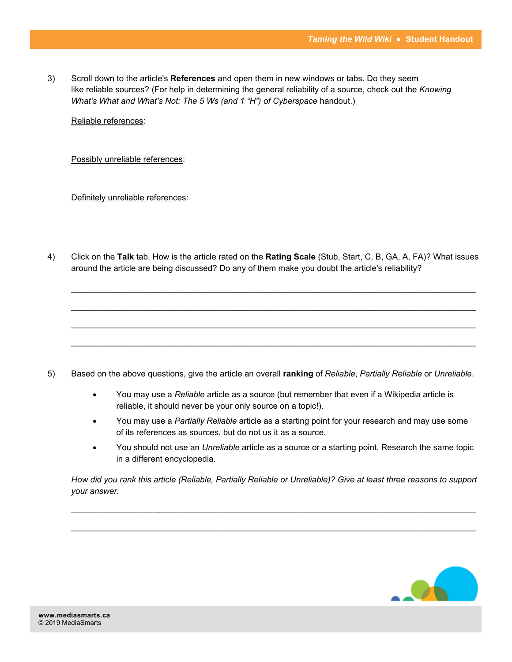3) Scroll down to the article's **References** and open them in new windows or tabs. Do they seem like reliable sources? (For help in determining the general reliability of a source, check out the *Knowing What's What and What's Not: The 5 Ws (and 1 "H") of Cyberspace handout.)* 

Reliable references:

Possibly unreliable references:

Definitely unreliable references:

4) Click on the **Talk** tab. How is the article rated on the **Rating Scale** (Stub, Start, C, B, GA, A, FA)? What issues around the article are being discussed? Do any of them make you doubt the article's reliability?

\_\_\_\_\_\_\_\_\_\_\_\_\_\_\_\_\_\_\_\_\_\_\_\_\_\_\_\_\_\_\_\_\_\_\_\_\_\_\_\_\_\_\_\_\_\_\_\_\_\_\_\_\_\_\_\_\_\_\_\_\_\_\_\_\_\_\_\_\_\_\_\_\_\_\_\_\_\_\_\_\_\_\_\_\_\_\_

 $\mathcal{L}_\mathcal{L} = \{ \mathcal{L}_\mathcal{L} = \{ \mathcal{L}_\mathcal{L} = \{ \mathcal{L}_\mathcal{L} = \{ \mathcal{L}_\mathcal{L} = \{ \mathcal{L}_\mathcal{L} = \{ \mathcal{L}_\mathcal{L} = \{ \mathcal{L}_\mathcal{L} = \{ \mathcal{L}_\mathcal{L} = \{ \mathcal{L}_\mathcal{L} = \{ \mathcal{L}_\mathcal{L} = \{ \mathcal{L}_\mathcal{L} = \{ \mathcal{L}_\mathcal{L} = \{ \mathcal{L}_\mathcal{L} = \{ \mathcal{L}_\mathcal{$ 

- 5) Based on the above questions, give the article an overall **ranking** of *Reliable*, *Partially Reliable* or *Unreliable*.
	- You may use a *Reliable* article as a source (but remember that even if a Wikipedia article is reliable, it should never be your only source on a topic!).
	- You may use a *Partially Reliable* article as a starting point for your research and may use some of its references as sources, but do not us it as a source.
	- You should not use an *Unreliable* article as a source or a starting point. Research the same topic in a different encyclopedia.

*How did you rank this article (Reliable, Partially Reliable or Unreliable)? Give at least three reasons to support your answer.*

 $\mathcal{L}_\mathcal{L} = \mathcal{L}_\mathcal{L} = \mathcal{L}_\mathcal{L} = \mathcal{L}_\mathcal{L} = \mathcal{L}_\mathcal{L} = \mathcal{L}_\mathcal{L} = \mathcal{L}_\mathcal{L} = \mathcal{L}_\mathcal{L} = \mathcal{L}_\mathcal{L} = \mathcal{L}_\mathcal{L} = \mathcal{L}_\mathcal{L} = \mathcal{L}_\mathcal{L} = \mathcal{L}_\mathcal{L} = \mathcal{L}_\mathcal{L} = \mathcal{L}_\mathcal{L} = \mathcal{L}_\mathcal{L} = \mathcal{L}_\mathcal{L}$